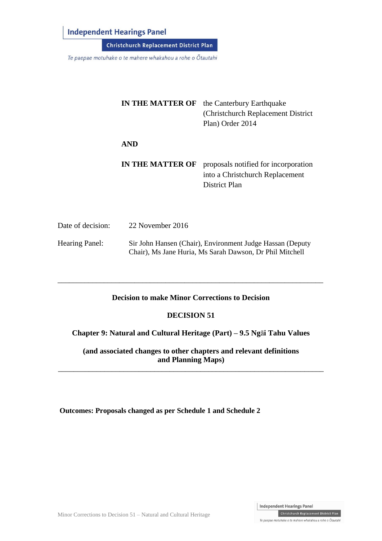# **Independent Hearings Panel**

Christchurch Replacement District Plan

Te paepae motuhake o te mahere whakahou a rohe o Ōtautahi

| <b>IN THE MATTER OF</b> | the Canterbury Earthquake<br>(Christchurch Replacement District)<br>Plan) Order 2014     |
|-------------------------|------------------------------------------------------------------------------------------|
| <b>AND</b>              |                                                                                          |
| <b>IN THE MATTER OF</b> | proposals notified for incorporation<br>into a Christchurch Replacement<br>District Plan |

| Date of decision:     | 22 November 2016                                                                                                      |
|-----------------------|-----------------------------------------------------------------------------------------------------------------------|
| <b>Hearing Panel:</b> | Sir John Hansen (Chair), Environment Judge Hassan (Deputy<br>Chair), Ms Jane Huria, Ms Sarah Dawson, Dr Phil Mitchell |

### **Decision to make Minor Corrections to Decision**

\_\_\_\_\_\_\_\_\_\_\_\_\_\_\_\_\_\_\_\_\_\_\_\_\_\_\_\_\_\_\_\_\_\_\_\_\_\_\_\_\_\_\_\_\_\_\_\_\_\_\_\_\_\_\_\_\_\_\_\_\_\_\_\_\_\_\_\_\_

### **DECISION 51**

**Chapter 9: Natural and Cultural Heritage (Part) – 9.5 Ng**ā**i Tahu Values**

**(and associated changes to other chapters and relevant definitions and Planning Maps)**

\_\_\_\_\_\_\_\_\_\_\_\_\_\_\_\_\_\_\_\_\_\_\_\_\_\_\_\_\_\_\_\_\_\_\_\_\_\_\_\_\_\_\_\_\_\_\_\_\_\_\_\_\_\_\_\_\_\_\_\_\_\_\_\_\_\_\_\_\_

**Outcomes: Proposals changed as per Schedule 1 and Schedule 2**

Independent Hearings Panel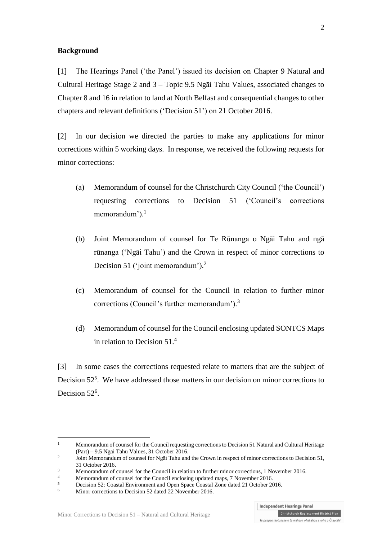### **Background**

[1] The Hearings Panel ('the Panel') issued its decision on Chapter 9 Natural and Cultural Heritage Stage 2 and 3 – Topic 9.5 Ngāi Tahu Values, associated changes to Chapter 8 and 16 in relation to land at North Belfast and consequential changes to other chapters and relevant definitions ('Decision 51') on 21 October 2016.

[2] In our decision we directed the parties to make any applications for minor corrections within 5 working days. In response, we received the following requests for minor corrections:

- (a) Memorandum of counsel for the Christchurch City Council ('the Council') requesting corrections to Decision 51 ('Council's corrections memorandum').<sup>1</sup>
- (b) Joint Memorandum of counsel for Te Rūnanga o Ngāi Tahu and ngā rūnanga ('Ngāi Tahu') and the Crown in respect of minor corrections to Decision 51 ('joint memorandum').<sup>2</sup>
- (c) Memorandum of counsel for the Council in relation to further minor corrections (Council's further memorandum'). 3
- (d) Memorandum of counsel for the Council enclosing updated SONTCS Maps in relation to Decision 51.<sup>4</sup>

[3] In some cases the corrections requested relate to matters that are the subject of Decision 52<sup>5</sup>. We have addressed those matters in our decision on minor corrections to Decision 52<sup>6</sup>.

 $\overline{a}$ 

<sup>&</sup>lt;sup>1</sup> Memorandum of counsel for the Council requesting corrections to Decision 51 Natural and Cultural Heritage (Part) – 9.5 Ngāi Tahu Values, 31 October 2016.

 $\overline{2}$ Joint Memorandum of counsel for Ngāi Tahu and the Crown in respect of minor corrections to Decision 51, 31 October 2016.

<sup>&</sup>lt;sup>3</sup><br>Memorandum of counsel for the Council in relation to further minor corrections, 1 November 2016.

<sup>4</sup> Memorandum of counsel for the Council enclosing updated maps, 7 November 2016.

 $5$  Decision 52: Coastal Environment and Open Space Coastal Zone dated 21 October 2016.

Minor corrections to Decision 52 dated 22 November 2016.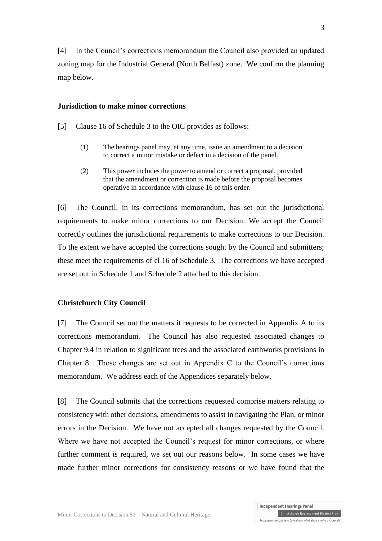[4] In the Council's corrections memorandum the Council also provided an updated zoning map for the Industrial General (North Belfast) zone. We confirm the planning map below.

### **Jurisdiction to make minor corrections**

[5] Clause 16 of Schedule 3 to the OIC provides as follows:

- (1) The hearings panel may, at any time, issue an amendment to a decision to correct a minor mistake or defect in a decision of the panel.
- (2) This power includes the power to amend or correct a proposal, provided that the amendment or correction is made before the proposal becomes operative in accordance with [clause 16](http://www.legislation.govt.nz/regulation/public/2014/0228/latest/whole.html#DLM6189936) of this order.

[6] The Council, in its corrections memorandum, has set out the jurisdictional requirements to make minor corrections to our Decision. We accept the Council correctly outlines the jurisdictional requirements to make corrections to our Decision. To the extent we have accepted the corrections sought by the Council and submitters; these meet the requirements of cl 16 of Schedule 3. The corrections we have accepted are set out in Schedule 1 and Schedule 2 attached to this decision.

### **Christchurch City Council**

[7] The Council set out the matters it requests to be corrected in Appendix A to its corrections memorandum. The Council has also requested associated changes to Chapter 9.4 in relation to significant trees and the associated earthworks provisions in Chapter 8. Those changes are set out in Appendix C to the Council's corrections memorandum. We address each of the Appendices separately below.

[8] The Council submits that the corrections requested comprise matters relating to consistency with other decisions, amendments to assist in navigating the Plan, or minor errors in the Decision. We have not accepted all changes requested by the Council. Where we have not accepted the Council's request for minor corrections, or where further comment is required, we set out our reasons below. In some cases we have made further minor corrections for consistency reasons or we have found that the

3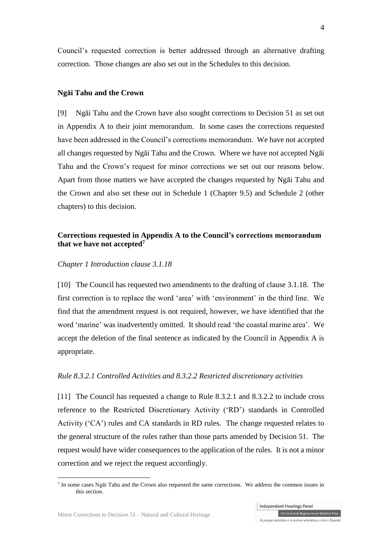Council's requested correction is better addressed through an alternative drafting correction. Those changes are also set out in the Schedules to this decision.

#### **Ngāi Tahu and the Crown**

[9] Ngāi Tahu and the Crown have also sought corrections to Decision 51 as set out in Appendix A to their joint memorandum. In some cases the corrections requested have been addressed in the Council's corrections memorandum. We have not accepted all changes requested by Ngāi Tahu and the Crown. Where we have not accepted Ngāi Tahu and the Crown's request for minor corrections we set out our reasons below. Apart from those matters we have accepted the changes requested by Ngāi Tahu and the Crown and also set these out in Schedule 1 (Chapter 9.5) and Schedule 2 (other chapters) to this decision.

### **Corrections requested in Appendix A to the Council's corrections memorandum that we have not accepted<sup>7</sup>**

### *Chapter 1 Introduction clause 3.1.18*

[10] The Council has requested two amendments to the drafting of clause 3.1.18. The first correction is to replace the word 'area' with 'environment' in the third line. We find that the amendment request is not required, however, we have identified that the word 'marine' was inadvertently omitted. It should read 'the coastal marine area'. We accept the deletion of the final sentence as indicated by the Council in Appendix A is appropriate.

### *Rule 8.3.2.1 Controlled Activities and 8.3.2.2 Restricted discretionary activities*

[11] The Council has requested a change to Rule 8.3.2.1 and 8.3.2.2 to include cross reference to the Restricted Discretionary Activity ('RD') standards in Controlled Activity ('CA') rules and CA standards in RD rules. The change requested relates to the general structure of the rules rather than those parts amended by Decision 51. The request would have wider consequences to the application of the rules. It is not a minor correction and we reject the request accordingly.

 $\overline{a}$ 

<sup>7</sup> In some cases Ngāi Tahu and the Crown also requested the same corrections. We address the common issues in this section.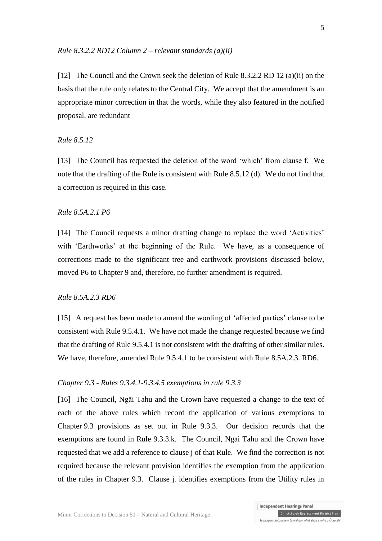[12] The Council and the Crown seek the deletion of Rule 8.3.2.2 RD 12 (a)(ii) on the basis that the rule only relates to the Central City. We accept that the amendment is an appropriate minor correction in that the words, while they also featured in the notified proposal, are redundant

### *Rule 8.5.12*

[13] The Council has requested the deletion of the word 'which' from clause f. We note that the drafting of the Rule is consistent with Rule 8.5.12 (d). We do not find that a correction is required in this case.

### *Rule 8.5A.2.1 P6*

[14] The Council requests a minor drafting change to replace the word 'Activities' with 'Earthworks' at the beginning of the Rule. We have, as a consequence of corrections made to the significant tree and earthwork provisions discussed below, moved P6 to Chapter 9 and, therefore, no further amendment is required.

### *Rule 8.5A.2.3 RD6*

[15] A request has been made to amend the wording of 'affected parties' clause to be consistent with Rule 9.5.4.1. We have not made the change requested because we find that the drafting of Rule 9.5.4.1 is not consistent with the drafting of other similar rules. We have, therefore, amended Rule 9.5.4.1 to be consistent with Rule 8.5A.2.3. RD6.

#### *Chapter 9.3 - Rules 9.3.4.1-9.3.4.5 exemptions in rule 9.3.3*

[16] The Council, Ngāi Tahu and the Crown have requested a change to the text of each of the above rules which record the application of various exemptions to Chapter 9.3 provisions as set out in Rule 9.3.3. Our decision records that the exemptions are found in Rule 9.3.3.k. The Council, Ngāi Tahu and the Crown have requested that we add a reference to clause j of that Rule. We find the correction is not required because the relevant provision identifies the exemption from the application of the rules in Chapter 9.3. Clause j. identifies exemptions from the Utility rules in

5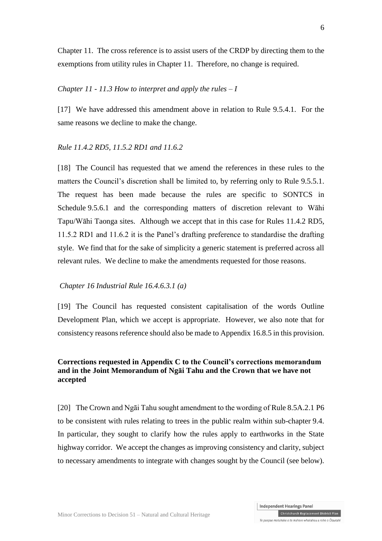Chapter 11. The cross reference is to assist users of the CRDP by directing them to the exemptions from utility rules in Chapter 11. Therefore, no change is required.

### *Chapter 11 - 11.3 How to interpret and apply the rules – I*

[17] We have addressed this amendment above in relation to Rule 9.5.4.1. For the same reasons we decline to make the change.

### *Rule 11.4.2 RD5, 11.5.2 RD1 and 11.6.2*

[18] The Council has requested that we amend the references in these rules to the matters the Council's discretion shall be limited to, by referring only to Rule 9.5.5.1. The request has been made because the rules are specific to SONTCS in Schedule 9.5.6.1 and the corresponding matters of discretion relevant to Wāhi Tapu/Wāhi Taonga sites. Although we accept that in this case for Rules 11.4.2 RD5, 11.5.2 RD1 and 11.6.2 it is the Panel's drafting preference to standardise the drafting style. We find that for the sake of simplicity a generic statement is preferred across all relevant rules. We decline to make the amendments requested for those reasons.

### *Chapter 16 Industrial Rule 16.4.6.3.1 (a)*

[19] The Council has requested consistent capitalisation of the words Outline Development Plan, which we accept is appropriate. However, we also note that for consistency reasons reference should also be made to Appendix 16.8.5 in this provision.

### **Corrections requested in Appendix C to the Council's corrections memorandum and in the Joint Memorandum of Ngāi Tahu and the Crown that we have not accepted**

[20] The Crown and Ngāi Tahu sought amendment to the wording of Rule 8.5A.2.1 P6 to be consistent with rules relating to trees in the public realm within sub-chapter 9.4. In particular, they sought to clarify how the rules apply to earthworks in the State highway corridor. We accept the changes as improving consistency and clarity, subject to necessary amendments to integrate with changes sought by the Council (see below).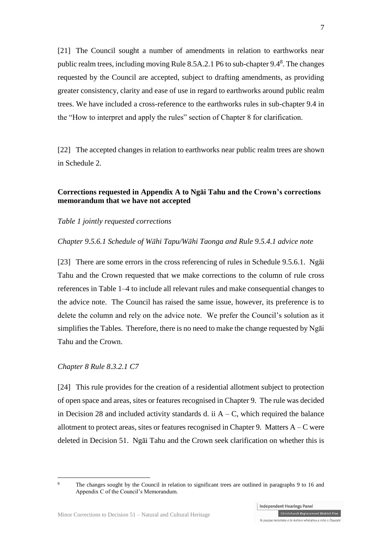[21] The Council sought a number of amendments in relation to earthworks near public realm trees, including moving Rule  $8.5A.2.1P6$  to sub-chapter  $9.4^8$ . The changes requested by the Council are accepted, subject to drafting amendments, as providing greater consistency, clarity and ease of use in regard to earthworks around public realm trees. We have included a cross-reference to the earthworks rules in sub-chapter 9.4 in the "How to interpret and apply the rules" section of Chapter 8 for clarification.

[22] The accepted changes in relation to earthworks near public realm trees are shown in Schedule 2.

### **Corrections requested in Appendix A to Ngāi Tahu and the Crown's corrections memorandum that we have not accepted**

### *Table 1 jointly requested corrections*

#### *Chapter 9.5.6.1 Schedule of Wāhi Tapu/Wāhi Taonga and Rule 9.5.4.1 advice note*

[23] There are some errors in the cross referencing of rules in Schedule 9.5.6.1. Ngāi Tahu and the Crown requested that we make corrections to the column of rule cross references in Table 1–4 to include all relevant rules and make consequential changes to the advice note. The Council has raised the same issue, however, its preference is to delete the column and rely on the advice note. We prefer the Council's solution as it simplifies the Tables. Therefore, there is no need to make the change requested by Ngāi Tahu and the Crown.

#### *Chapter 8 Rule 8.3.2.1 C7*

[24] This rule provides for the creation of a residential allotment subject to protection of open space and areas, sites or features recognised in Chapter 9. The rule was decided in Decision 28 and included activity standards d. ii  $A - C$ , which required the balance allotment to protect areas, sites or features recognised in Chapter 9. Matters  $A - C$  were deleted in Decision 51. Ngāi Tahu and the Crown seek clarification on whether this is

7

**Independent Hearings Panel** 

 $\overline{a}$ 

The changes sought by the Council in relation to significant trees are outlined in paragraphs 9 to 16 and Appendix C of the Council's Memorandum.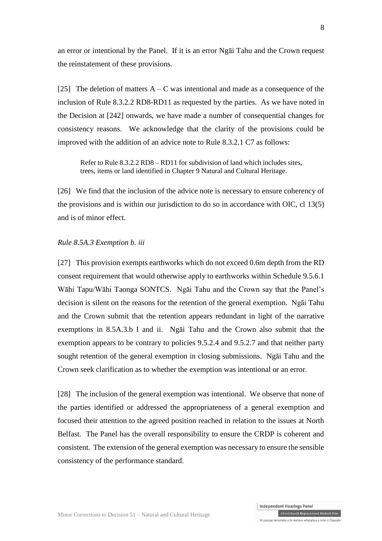an error or intentional by the Panel. If it is an error Ngāi Tahu and the Crown request the reinstatement of these provisions.

[25] The deletion of matters  $A - C$  was intentional and made as a consequence of the inclusion of Rule 8.3.2.2 RD8-RD11 as requested by the parties. As we have noted in the Decision at [242] onwards, we have made a number of consequential changes for consistency reasons. We acknowledge that the clarity of the provisions could be improved with the addition of an advice note to Rule 8.3.2.1 C7 as follows:

Refer to Rule 8.3.2.2 RD8 – RD11 for subdivision of land which includes sites, trees, items or land identified in Chapter 9 Natural and Cultural Heritage.

[26] We find that the inclusion of the advice note is necessary to ensure coherency of the provisions and is within our jurisdiction to do so in accordance with OIC, cl 13(5) and is of minor effect.

### *Rule 8.5A.3 Exemption b. iii*

[27] This provision exempts earthworks which do not exceed 0.6m depth from the RD consent requirement that would otherwise apply to earthworks within Schedule 9.5.6.1 Wāhi Tapu/Wāhi Taonga SONTCS. Ngāi Tahu and the Crown say that the Panel's decision is silent on the reasons for the retention of the general exemption. Ngāi Tahu and the Crown submit that the retention appears redundant in light of the narrative exemptions in 8.5A.3.b I and ii. Ngāi Tahu and the Crown also submit that the exemption appears to be contrary to policies 9.5.2.4 and 9.5.2.7 and that neither party sought retention of the general exemption in closing submissions. Ngāi Tahu and the Crown seek clarification as to whether the exemption was intentional or an error.

[28] The inclusion of the general exemption was intentional. We observe that none of the parties identified or addressed the appropriateness of a general exemption and focused their attention to the agreed position reached in relation to the issues at North Belfast. The Panel has the overall responsibility to ensure the CRDP is coherent and consistent. The extension of the general exemption was necessary to ensure the sensible consistency of the performance standard.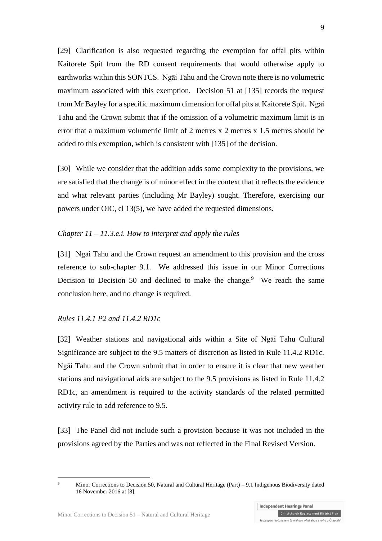[29] Clarification is also requested regarding the exemption for offal pits within Kaitōrete Spit from the RD consent requirements that would otherwise apply to earthworks within this SONTCS. Ngāi Tahu and the Crown note there is no volumetric maximum associated with this exemption. Decision 51 at [135] records the request from Mr Bayley for a specific maximum dimension for offal pits at Kaitōrete Spit. Ngāi Tahu and the Crown submit that if the omission of a volumetric maximum limit is in error that a maximum volumetric limit of 2 metres x 2 metres x 1.5 metres should be added to this exemption, which is consistent with [135] of the decision.

[30] While we consider that the addition adds some complexity to the provisions, we are satisfied that the change is of minor effect in the context that it reflects the evidence and what relevant parties (including Mr Bayley) sought. Therefore, exercising our powers under OIC, cl 13(5), we have added the requested dimensions.

### *Chapter 11 – 11.3.e.i. How to interpret and apply the rules*

[31] Ngāi Tahu and the Crown request an amendment to this provision and the cross reference to sub-chapter 9.1. We addressed this issue in our Minor Corrections Decision to Decision 50 and declined to make the change.<sup>9</sup> We reach the same conclusion here, and no change is required.

### *Rules 11.4.1 P2 and 11.4.2 RD1c*

 $\overline{a}$ 

[32] Weather stations and navigational aids within a Site of Ngāi Tahu Cultural Significance are subject to the 9.5 matters of discretion as listed in Rule 11.4.2 RD1c. Ngāi Tahu and the Crown submit that in order to ensure it is clear that new weather stations and navigational aids are subject to the 9.5 provisions as listed in Rule 11.4.2 RD1c, an amendment is required to the activity standards of the related permitted activity rule to add reference to 9.5.

[33] The Panel did not include such a provision because it was not included in the provisions agreed by the Parties and was not reflected in the Final Revised Version.

Minor Corrections to Decision 50, Natural and Cultural Heritage (Part) – 9.1 Indigenous Biodiversity dated 16 November 2016 at [8].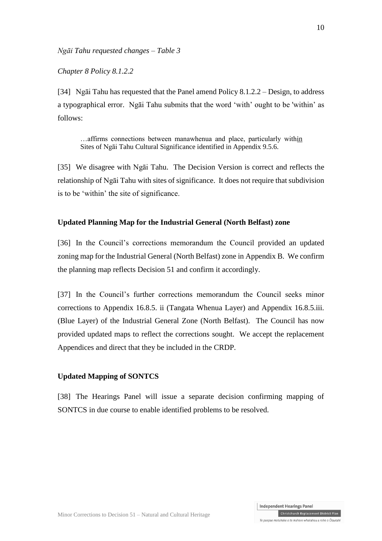*Ngāi Tahu requested changes – Table 3*

*Chapter 8 Policy 8.1.2.2*

[34] Ngāi Tahu has requested that the Panel amend Policy 8.1.2.2 – Design, to address a typographical error. Ngāi Tahu submits that the word 'with' ought to be 'within' as follows:

…affirms connections between manawhenua and place, particularly within Sites of Ngāi Tahu Cultural Significance identified in Appendix 9.5.6.

[35] We disagree with Ngāi Tahu. The Decision Version is correct and reflects the relationship of Ngāi Tahu with sites of significance. It does not require that subdivision is to be 'within' the site of significance.

### **Updated Planning Map for the Industrial General (North Belfast) zone**

[36] In the Council's corrections memorandum the Council provided an updated zoning map for the Industrial General (North Belfast) zone in Appendix B. We confirm the planning map reflects Decision 51 and confirm it accordingly.

[37] In the Council's further corrections memorandum the Council seeks minor corrections to Appendix 16.8.5. ii (Tangata Whenua Layer) and Appendix 16.8.5.iii. (Blue Layer) of the Industrial General Zone (North Belfast). The Council has now provided updated maps to reflect the corrections sought. We accept the replacement Appendices and direct that they be included in the CRDP.

### **Updated Mapping of SONTCS**

[38] The Hearings Panel will issue a separate decision confirming mapping of SONTCS in due course to enable identified problems to be resolved.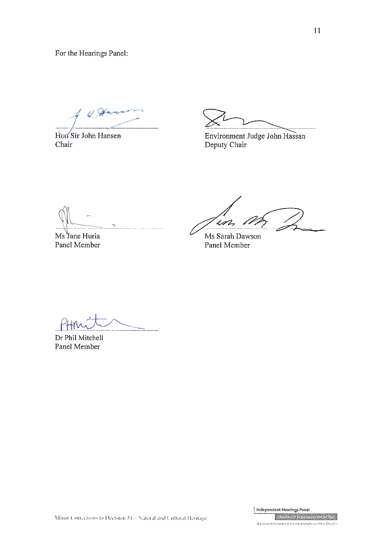For the Hearings Panel:

 $4.96$ 

Hon Sir John Hansen Chair

Environment Judge John Hassan Deputy Chair

Ms Jane Huria Panel Member

.<br>1 d in

Ms Sarah Dawson Panel Member

Dr Phil Mitchell Panel Member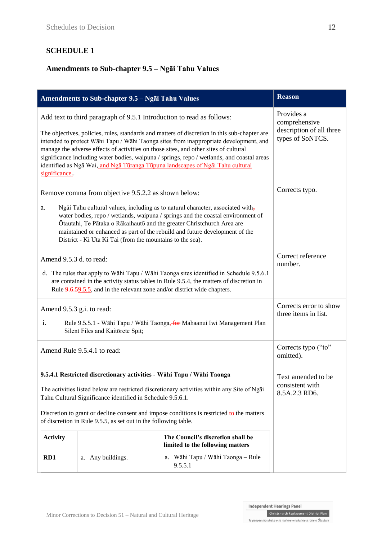# **SCHEDULE 1**

# **Amendments to Sub-chapter 9.5 – Ngāi Tahu Values**

| Amendments to Sub-chapter 9.5 - Ngai Tahu Values                                                                                                                                                                                                                                                                                                                                                                                                                                                                                                        |                   |                                              | <b>Reason</b>                                                               |
|---------------------------------------------------------------------------------------------------------------------------------------------------------------------------------------------------------------------------------------------------------------------------------------------------------------------------------------------------------------------------------------------------------------------------------------------------------------------------------------------------------------------------------------------------------|-------------------|----------------------------------------------|-----------------------------------------------------------------------------|
| Add text to third paragraph of 9.5.1 Introduction to read as follows:<br>The objectives, policies, rules, standards and matters of discretion in this sub-chapter are<br>intended to protect Wāhi Tapu / Wāhi Taonga sites from inappropriate development, and<br>manage the adverse effects of activities on those sites, and other sites of cultural<br>significance including water bodies, waipuna / springs, repo / wetlands, and coastal areas<br>identified as Ngā Wai, and Ngā Tūranga Tūpuna landscapes of Ngāi Tahu cultural<br>significance. |                   |                                              | Provides a<br>comprehensive<br>description of all three<br>types of SoNTCS. |
| Remove comma from objective 9.5.2.2 as shown below:<br>Ngai Tahu cultural values, including as to natural character, associated with-<br>a.<br>water bodies, repo / wetlands, waipuna / springs and the coastal environment of<br>Ōtautahi, Te Pātaka o Rākaihautū and the greater Christchurch Area are<br>maintained or enhanced as part of the rebuild and future development of the<br>District - Ki Uta Ki Tai (from the mountains to the sea).                                                                                                    |                   |                                              | Corrects typo.                                                              |
| Amend 9.5.3 d. to read:<br>d. The rules that apply to Wāhi Tapu / Wāhi Taonga sites identified in Schedule 9.5.6.1<br>are contained in the activity status tables in Rule 9.5.4, the matters of discretion in<br>Rule 9.6.59.5.5, and in the relevant zone and/or district wide chapters.                                                                                                                                                                                                                                                               |                   |                                              | Correct reference<br>number.                                                |
| Amend 9.5.3 g.i. to read:<br>i.<br>Rule 9.5.5.1 - Wāhi Tapu / Wāhi Taonga, for Mahaanui Iwi Management Plan<br>Silent Files and Kaitorete Spit;                                                                                                                                                                                                                                                                                                                                                                                                         |                   |                                              | Corrects error to show<br>three items in list.                              |
| Amend Rule 9.5.4.1 to read:                                                                                                                                                                                                                                                                                                                                                                                                                                                                                                                             |                   |                                              | Corrects typo ("to"<br>omitted).                                            |
| 9.5.4.1 Restricted discretionary activities - Wāhi Tapu / Wāhi Taonga<br>The activities listed below are restricted discretionary activities within any Site of Ngai<br>Tahu Cultural Significance identified in Schedule 9.5.6.1.<br>Discretion to grant or decline consent and impose conditions is restricted to the matters<br>of discretion in Rule 9.5.5, as set out in the following table.                                                                                                                                                      |                   |                                              | Text amended to be<br>consistent with<br>8.5A.2.3 RD6.                      |
| The Council's discretion shall be<br><b>Activity</b><br>limited to the following matters                                                                                                                                                                                                                                                                                                                                                                                                                                                                |                   |                                              |                                                                             |
| RD1                                                                                                                                                                                                                                                                                                                                                                                                                                                                                                                                                     | a. Any buildings. | a. Wāhi Tapu / Wāhi Taonga - Rule<br>9.5.5.1 |                                                                             |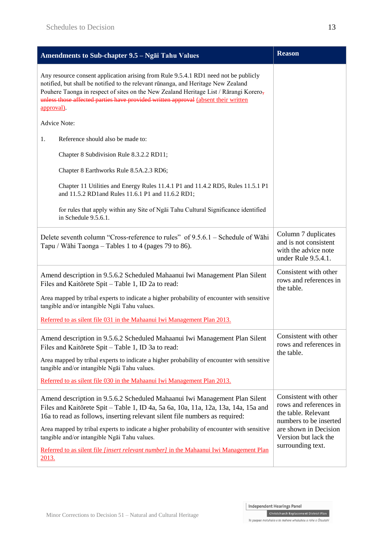| Amendments to Sub-chapter 9.5 - Ngai Tahu Values                                                                                                                                                                                                                                                                                                                                              | <b>Reason</b>                                                                                                                                                          |
|-----------------------------------------------------------------------------------------------------------------------------------------------------------------------------------------------------------------------------------------------------------------------------------------------------------------------------------------------------------------------------------------------|------------------------------------------------------------------------------------------------------------------------------------------------------------------------|
| Any resource consent application arising from Rule 9.5.4.1 RD1 need not be publicly<br>notified, but shall be notified to the relevant rūnanga, and Heritage New Zealand<br>Pouhere Taonga in respect of sites on the New Zealand Heritage List / Rārangi Korero,<br>unless those affected parties have provided written approval (absent their written<br>approval).                         |                                                                                                                                                                        |
| <b>Advice Note:</b>                                                                                                                                                                                                                                                                                                                                                                           |                                                                                                                                                                        |
| 1.<br>Reference should also be made to:                                                                                                                                                                                                                                                                                                                                                       |                                                                                                                                                                        |
| Chapter 8 Subdivision Rule 8.3.2.2 RD11;                                                                                                                                                                                                                                                                                                                                                      |                                                                                                                                                                        |
| Chapter 8 Earthworks Rule 8.5A.2.3 RD6;                                                                                                                                                                                                                                                                                                                                                       |                                                                                                                                                                        |
| Chapter 11 Utilities and Energy Rules 11.4.1 P1 and 11.4.2 RD5, Rules 11.5.1 P1<br>and 11.5.2 RD1 and Rules 11.6.1 P1 and 11.6.2 RD1;                                                                                                                                                                                                                                                         |                                                                                                                                                                        |
| for rules that apply within any Site of Ngai Tahu Cultural Significance identified<br>in Schedule 9.5.6.1.                                                                                                                                                                                                                                                                                    |                                                                                                                                                                        |
| Delete seventh column "Cross-reference to rules" of 9.5.6.1 – Schedule of Wāhi<br>Tapu / Wāhi Taonga – Tables 1 to 4 (pages 79 to 86).                                                                                                                                                                                                                                                        | Column 7 duplicates<br>and is not consistent<br>with the advice note<br>under Rule 9.5.4.1.                                                                            |
| Amend description in 9.5.6.2 Scheduled Mahaanui Iwi Management Plan Silent<br>Files and Kaitorete Spit - Table 1, ID 2a to read:                                                                                                                                                                                                                                                              | Consistent with other<br>rows and references in<br>the table.                                                                                                          |
| Area mapped by tribal experts to indicate a higher probability of encounter with sensitive<br>tangible and/or intangible Ngai Tahu values.                                                                                                                                                                                                                                                    |                                                                                                                                                                        |
| Referred to as silent file 031 in the Mahaanui Iwi Management Plan 2013.                                                                                                                                                                                                                                                                                                                      |                                                                                                                                                                        |
| Amend description in 9.5.6.2 Scheduled Mahaanui Iwi Management Plan Silent<br>Files and Kaitorete Spit - Table 1, ID 3a to read:                                                                                                                                                                                                                                                              | Consistent with other<br>rows and references in<br>the table.                                                                                                          |
| Area mapped by tribal experts to indicate a higher probability of encounter with sensitive<br>tangible and/or intangible Ngai Tahu values.                                                                                                                                                                                                                                                    |                                                                                                                                                                        |
| Referred to as silent file 030 in the Mahaanui Iwi Management Plan 2013.                                                                                                                                                                                                                                                                                                                      |                                                                                                                                                                        |
| Amend description in 9.5.6.2 Scheduled Mahaanui Iwi Management Plan Silent<br>Files and Kaitorete Spit - Table 1, ID 4a, 5a 6a, 10a, 11a, 12a, 13a, 14a, 15a and<br>16a to read as follows, inserting relevant silent file numbers as required:<br>Area mapped by tribal experts to indicate a higher probability of encounter with sensitive<br>tangible and/or intangible Ngai Tahu values. | Consistent with other<br>rows and references in<br>the table. Relevant<br>numbers to be inserted<br>are shown in Decision<br>Version but lack the<br>surrounding text. |
| Referred to as silent file <i>[insert relevant number]</i> in the Mahaanui Iwi Management Plan<br>2013.                                                                                                                                                                                                                                                                                       |                                                                                                                                                                        |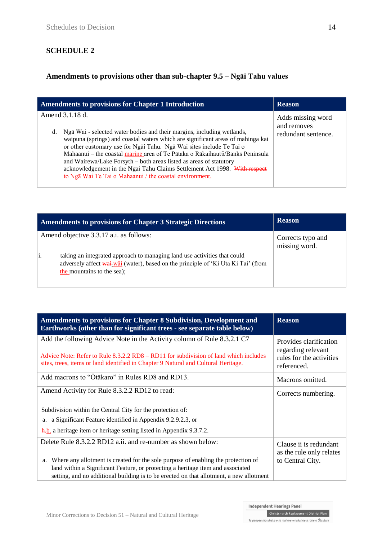# **SCHEDULE 2**

# **Amendments to provisions other than sub-chapter 9.5 – Ngāi Tahu values**

| <b>Amendments to provisions for Chapter 1 Introduction</b>                                                                                                                                                                                                                                                                                                                                                                                                                                                                                               | <b>Reason</b>                                           |
|----------------------------------------------------------------------------------------------------------------------------------------------------------------------------------------------------------------------------------------------------------------------------------------------------------------------------------------------------------------------------------------------------------------------------------------------------------------------------------------------------------------------------------------------------------|---------------------------------------------------------|
| Amend 3.1.18 d.<br>Ngā Wai - selected water bodies and their margins, including wetlands,<br>d.<br>waipuna (springs) and coastal waters which are significant areas of mahinga kai<br>or other customary use for Ngai Tahu. Nga Wai sites include Te Tai o<br>Mahaanui – the coastal marine area of Te Pātaka o Rākaihautī/Banks Peninsula<br>and Wairewa/Lake Forsyth - both areas listed as areas of statutory<br>acknowledgement in the Ngai Tahu Claims Settlement Act 1998. With respect<br>to Nga Wai Te Tai o Mahaanui / the coastal environment. | Adds missing word<br>and removes<br>redundant sentence. |

| Amendments to provisions for Chapter 3 Strategic Directions                                                                                                                                 | <b>Reason</b>                      |
|---------------------------------------------------------------------------------------------------------------------------------------------------------------------------------------------|------------------------------------|
| Amend objective 3.3.17 a.i. as follows:                                                                                                                                                     | Corrects typo and<br>missing word. |
| taking an integrated approach to managing land use activities that could<br>adversely affect wai wai (water), based on the principle of 'Ki Uta Ki Tai' (from<br>the mountains to the sea); |                                    |

| Amendments to provisions for Chapter 8 Subdivision, Development and<br>Earthworks (other than for significant trees - see separate table below)                                                                                                                 | <b>Reason</b>                                                                           |
|-----------------------------------------------------------------------------------------------------------------------------------------------------------------------------------------------------------------------------------------------------------------|-----------------------------------------------------------------------------------------|
| Add the following Advice Note in the Activity column of Rule 8.3.2.1 C7<br>Advice Note: Refer to Rule $8.3.2.2$ RD8 – RD11 for subdivision of land which includes<br>sites, trees, items or land identified in Chapter 9 Natural and Cultural Heritage.         | Provides clarification<br>regarding relevant<br>rules for the activities<br>referenced. |
| Add macrons to "Otakaro" in Rules RD8 and RD13.                                                                                                                                                                                                                 | Macrons omitted.                                                                        |
| Amend Activity for Rule 8.3.2.2 RD12 to read:                                                                                                                                                                                                                   | Corrects numbering.                                                                     |
| Subdivision within the Central City for the protection of:                                                                                                                                                                                                      |                                                                                         |
| a. a Significant Feature identified in Appendix 9.2.9.2.3, or                                                                                                                                                                                                   |                                                                                         |
| $\frac{h}{h}$ . a heritage item or heritage setting listed in Appendix 9.3.7.2.                                                                                                                                                                                 |                                                                                         |
| Delete Rule 8.3.2.2 RD12 a.ii. and re-number as shown below:                                                                                                                                                                                                    | Clause ii is redundant<br>as the rule only relates                                      |
| a.                                                                                                                                                                                                                                                              | to Central City.                                                                        |
|                                                                                                                                                                                                                                                                 |                                                                                         |
| Where any allotment is created for the sole purpose of enabling the protection of<br>land within a Significant Feature, or protecting a heritage item and associated<br>setting, and no additional building is to be erected on that allotment, a new allotment |                                                                                         |

Independent Hearings Panel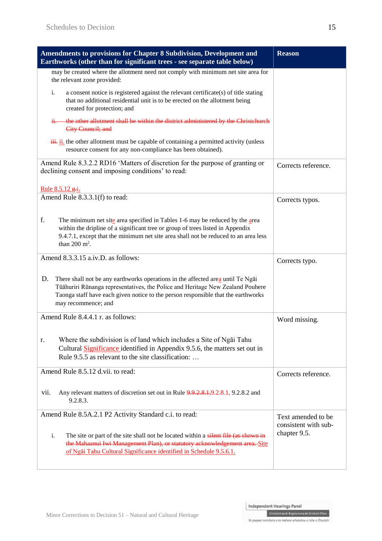| Amendments to provisions for Chapter 8 Subdivision, Development and<br>Earthworks (other than for significant trees - see separate table below)                                                                                                                                     | <b>Reason</b>                              |
|-------------------------------------------------------------------------------------------------------------------------------------------------------------------------------------------------------------------------------------------------------------------------------------|--------------------------------------------|
| may be created where the allotment need not comply with minimum net site area for<br>the relevant zone provided:                                                                                                                                                                    |                                            |
| i.<br>a consent notice is registered against the relevant certificate(s) of title stating<br>that no additional residential unit is to be erected on the allotment being<br>created for protection; and                                                                             |                                            |
| the other allotment shall be within the district administered by the Christchurch<br>Ħ.<br>City Council; and                                                                                                                                                                        |                                            |
| $\frac{3\mathbf{H}}{1}$ ii. the other allotment must be capable of containing a permitted activity (unless<br>resource consent for any non-compliance has been obtained).                                                                                                           |                                            |
| Amend Rule 8.3.2.2 RD16 'Matters of discretion for the purpose of granting or<br>declining consent and imposing conditions' to read:                                                                                                                                                | Corrects reference.                        |
| <u>Rule 8.5.12 g.i.</u>                                                                                                                                                                                                                                                             |                                            |
| Amend Rule 8.3.3.1(f) to read:                                                                                                                                                                                                                                                      | Corrects typos.                            |
| f.<br>The minimum net site area specified in Tables 1-6 may be reduced by the area<br>within the dripline of a significant tree or group of trees listed in Appendix<br>9.4.7.1, except that the minimum net site area shall not be reduced to an area less<br>than 200 $m^2$ .     |                                            |
| Amend 8.3.3.15 a.iv.D. as follows:                                                                                                                                                                                                                                                  | Corrects typo.                             |
| D.<br>There shall not be any earthworks operations in the affected area until Te Ngai<br>Tūāhuriri Rūnanga representatives, the Police and Heritage New Zealand Pouhere<br>Taonga staff have each given notice to the person responsible that the earthworks<br>may recommence; and |                                            |
| Amend Rule 8.4.4.1 r. as follows:                                                                                                                                                                                                                                                   | Word missing.                              |
| Where the subdivision is of land which includes a Site of Ngai Tahu<br>r.<br>Cultural Significance identified in Appendix 9.5.6, the matters set out in<br>Rule 9.5.5 as relevant to the site classification:                                                                       |                                            |
| Amend Rule 8.5.12 d.vii. to read:                                                                                                                                                                                                                                                   | Corrects reference.                        |
| vii.<br>Any relevant matters of discretion set out in Rule 9.9.2.8.1, 9.2.8.1, 9.2.8.2 and<br>9.2.8.3.                                                                                                                                                                              |                                            |
| Amend Rule 8.5A.2.1 P2 Activity Standard c.i. to read:                                                                                                                                                                                                                              | Text amended to be<br>consistent with sub- |
| i.<br>The site or part of the site shall not be located within a silent file (as shown in<br>the Mahaanui Iwi Management Plan), or statutory acknowledgement area. Site<br>of Ngāi Tahu Cultural Significance identified in Schedule 9.5.6.1.                                       | chapter 9.5.                               |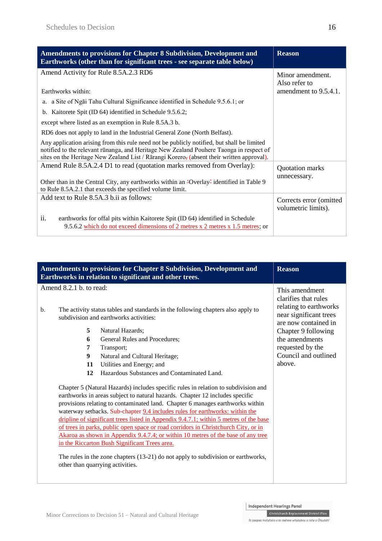| <b>Amendments to provisions for Chapter 8 Subdivision, Development and</b><br>Earthworks (other than for significant trees - see separate table below)                                                                                                                             | <b>Reason</b>                                  |
|------------------------------------------------------------------------------------------------------------------------------------------------------------------------------------------------------------------------------------------------------------------------------------|------------------------------------------------|
| Amend Activity for Rule 8.5A.2.3 RD6                                                                                                                                                                                                                                               | Minor amendment.<br>Also refer to              |
| Earthworks within:                                                                                                                                                                                                                                                                 | amendment to 9.5.4.1.                          |
| a. a Site of Ngai Tahu Cultural Significance identified in Schedule 9.5.6.1; or                                                                                                                                                                                                    |                                                |
| b. Kaitorete Spit (ID 64) identified in Schedule 9.5.6.2;                                                                                                                                                                                                                          |                                                |
| except where listed as an exemption in Rule 8.5A.3 b.                                                                                                                                                                                                                              |                                                |
| RD6 does not apply to land in the Industrial General Zone (North Belfast).                                                                                                                                                                                                         |                                                |
| Any application arising from this rule need not be publicly notified, but shall be limited<br>notified to the relevant rūnanga, and Heritage New Zealand Pouhere Taonga in respect of<br>sites on the Heritage New Zealand List / Rārangi Korero, (absent their written approval). |                                                |
| Amend Rule 8.5A.2.4 D1 to read (quotation marks removed from Overlay):                                                                                                                                                                                                             | Quotation marks<br>unnecessary.                |
| Other than in the Central City, any earthworks within an 'Overlay' identified in Table 9<br>to Rule 8.5A.2.1 that exceeds the specified volume limit.                                                                                                                              |                                                |
| Add text to Rule 8.5A.3 b.ii as follows:                                                                                                                                                                                                                                           | Corrects error (omitted<br>volumetric limits). |
| ii.<br>earthworks for offal pits within Kaitorete Spit (ID 64) identified in Schedule<br>9.5.6.2 which do not exceed dimensions of 2 metres x 2 metres x 1.5 metres; or                                                                                                            |                                                |

|                               |        | Amendments to provisions for Chapter 8 Subdivision, Development and<br>Earthworks in relation to significant and other trees.                                                                                                                                                                                                                                                                                                                                                                                                                                                                                                                                                                                                                                                      | <b>Reason</b>                                                                                                      |
|-------------------------------|--------|------------------------------------------------------------------------------------------------------------------------------------------------------------------------------------------------------------------------------------------------------------------------------------------------------------------------------------------------------------------------------------------------------------------------------------------------------------------------------------------------------------------------------------------------------------------------------------------------------------------------------------------------------------------------------------------------------------------------------------------------------------------------------------|--------------------------------------------------------------------------------------------------------------------|
| Amend 8.2.1 b. to read:<br>b. |        | The activity status tables and standards in the following chapters also apply to<br>subdivision and earthworks activities:                                                                                                                                                                                                                                                                                                                                                                                                                                                                                                                                                                                                                                                         | This amendment<br>clarifies that rules<br>relating to earthworks<br>near significant trees<br>are now contained in |
|                               | 5      | Natural Hazards;                                                                                                                                                                                                                                                                                                                                                                                                                                                                                                                                                                                                                                                                                                                                                                   | Chapter 9 following                                                                                                |
|                               | 6<br>7 | General Rules and Procedures;<br>Transport;                                                                                                                                                                                                                                                                                                                                                                                                                                                                                                                                                                                                                                                                                                                                        | the amendments<br>requested by the                                                                                 |
|                               | 9      | Natural and Cultural Heritage;                                                                                                                                                                                                                                                                                                                                                                                                                                                                                                                                                                                                                                                                                                                                                     | Council and outlined                                                                                               |
|                               | 11     | Utilities and Energy; and                                                                                                                                                                                                                                                                                                                                                                                                                                                                                                                                                                                                                                                                                                                                                          | above.                                                                                                             |
|                               | 12     | Hazardous Substances and Contaminated Land.                                                                                                                                                                                                                                                                                                                                                                                                                                                                                                                                                                                                                                                                                                                                        |                                                                                                                    |
|                               |        | Chapter 5 (Natural Hazards) includes specific rules in relation to subdivision and<br>earthworks in areas subject to natural hazards. Chapter 12 includes specific<br>provisions relating to contaminated land. Chapter 6 manages earthworks within<br>waterway setbacks. Sub-chapter 9.4 includes rules for earthworks: within the<br>dripline of significant trees listed in Appendix 9.4.7.1; within 5 metres of the base<br>of trees in parks, public open space or road corridors in Christchurch City, or in<br>Akaroa as shown in Appendix 9.4.7.4; or within 10 metres of the base of any tree<br>in the Riccarton Bush Significant Trees area.<br>The rules in the zone chapters $(13-21)$ do not apply to subdivision or earthworks,<br>other than quarrying activities. |                                                                                                                    |



Te paepae motuhake o te mahere whakahou a rohe o Ōtautahi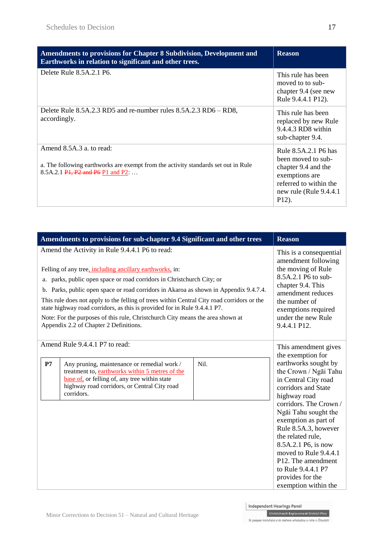| Amendments to provisions for Chapter 8 Subdivision, Development and<br>Earthworks in relation to significant and other trees.                                                                                     | <b>Reason</b>                                                                                                                                     |
|-------------------------------------------------------------------------------------------------------------------------------------------------------------------------------------------------------------------|---------------------------------------------------------------------------------------------------------------------------------------------------|
| Delete Rule 8.5A.2.1 P6.                                                                                                                                                                                          | This rule has been<br>moved to to sub-<br>chapter 9.4 (see new<br>Rule 9.4.4.1 P12).                                                              |
| Delete Rule 8.5A.2.3 RD5 and re-number rules 8.5A.2.3 RD6 – RD8,<br>accordingly.                                                                                                                                  | This rule has been<br>replaced by new Rule<br>9.4.4.3 RD8 within<br>sub-chapter 9.4.                                                              |
| Amend 8.5A.3 a, to read:<br>a. The following earthworks are exempt from the activity standards set out in Rule<br>8.5A.2.1 P <sub>1</sub> , P <sub>2</sub> and P <sub>6</sub> P <sub>1</sub> and P <sub>2</sub> : | Rule 8.5A.2.1 P6 has<br>been moved to sub-<br>chapter 9.4 and the<br>exemptions are<br>referred to within the<br>new rule (Rule 9.4.4.1)<br>P12). |

|    | Amendments to provisions for sub-chapter 9.4 Significant and other trees                                                                                                                                                                                                                                                                                                                                                                                                                                                                                                             | <b>Reason</b>                                                                                                                                                                                                       |                                                                                              |
|----|--------------------------------------------------------------------------------------------------------------------------------------------------------------------------------------------------------------------------------------------------------------------------------------------------------------------------------------------------------------------------------------------------------------------------------------------------------------------------------------------------------------------------------------------------------------------------------------|---------------------------------------------------------------------------------------------------------------------------------------------------------------------------------------------------------------------|----------------------------------------------------------------------------------------------|
|    | Amend the Activity in Rule 9.4.4.1 P6 to read:<br>Felling of any tree, including ancillary earthworks, in:<br>a. parks, public open space or road corridors in Christchurch City; or<br>b. Parks, public open space or road corridors in Akaroa as shown in Appendix 9.4.7.4.<br>This rule does not apply to the felling of trees within Central City road corridors or the<br>state highway road corridors, as this is provided for in Rule 9.4.4.1 P7.<br>Note: For the purposes of this rule, Christchurch City means the area shown at<br>Appendix 2.2 of Chapter 2 Definitions. | This is a consequential<br>amendment following<br>the moving of Rule<br>8.5A.2.1 P6 to sub-<br>chapter 9.4. This<br>amendment reduces<br>the number of<br>exemptions required<br>under the new Rule<br>9.4.4.1 P12. |                                                                                              |
|    | Amend Rule 9.4.4.1 P7 to read:                                                                                                                                                                                                                                                                                                                                                                                                                                                                                                                                                       |                                                                                                                                                                                                                     | This amendment gives<br>the exemption for                                                    |
| P7 | Any pruning, maintenance or remedial work /<br>treatment to, earthworks within 5 metres of the<br>base of, or felling of, any tree within state<br>highway road corridors, or Central City road                                                                                                                                                                                                                                                                                                                                                                                      | Nil.                                                                                                                                                                                                                | earthworks sought by<br>the Crown / Ngai Tahu<br>in Central City road<br>corridors and State |
|    | corridors.                                                                                                                                                                                                                                                                                                                                                                                                                                                                                                                                                                           |                                                                                                                                                                                                                     | highway road<br>corridors. The Crown /<br>Ngāi Tahu sought the                               |
|    |                                                                                                                                                                                                                                                                                                                                                                                                                                                                                                                                                                                      |                                                                                                                                                                                                                     | exemption as part of<br>Rule 8.5A.3, however<br>the related rule,                            |
|    |                                                                                                                                                                                                                                                                                                                                                                                                                                                                                                                                                                                      |                                                                                                                                                                                                                     | 8.5A.2.1 P6, is now<br>moved to Rule 9.4.4.1<br>P12. The amendment                           |
|    |                                                                                                                                                                                                                                                                                                                                                                                                                                                                                                                                                                                      |                                                                                                                                                                                                                     | to Rule 9.4.4.1 P7<br>provides for the<br>exemption within the                               |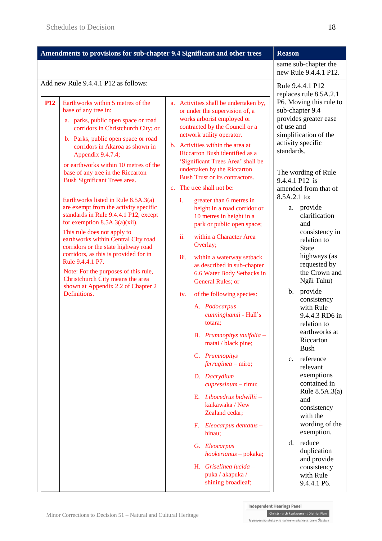| Amendments to provisions for sub-chapter 9.4 Significant and other trees                                                                                                  |                                                                                                                                                                                                                                                                                                                                                                                                                                                       |                                                                                                                                                                                                              | <b>Reason</b>                                                                                                                                                                                                                                                                                         |             |                                                                                                                                                                                   |
|---------------------------------------------------------------------------------------------------------------------------------------------------------------------------|-------------------------------------------------------------------------------------------------------------------------------------------------------------------------------------------------------------------------------------------------------------------------------------------------------------------------------------------------------------------------------------------------------------------------------------------------------|--------------------------------------------------------------------------------------------------------------------------------------------------------------------------------------------------------------|-------------------------------------------------------------------------------------------------------------------------------------------------------------------------------------------------------------------------------------------------------------------------------------------------------|-------------|-----------------------------------------------------------------------------------------------------------------------------------------------------------------------------------|
|                                                                                                                                                                           |                                                                                                                                                                                                                                                                                                                                                                                                                                                       |                                                                                                                                                                                                              |                                                                                                                                                                                                                                                                                                       |             | same sub-chapter the<br>new Rule 9.4.4.1 P12.                                                                                                                                     |
| <b>P12</b>                                                                                                                                                                | Add new Rule 9.4.4.1 P12 as follows:<br>Earthworks within 5 metres of the<br>base of any tree in:<br>a. parks, public open space or road<br>corridors in Christchurch City; or<br>b. Parks, public open space or road                                                                                                                                                                                                                                 |                                                                                                                                                                                                              | a. Activities shall be undertaken by,<br>or under the supervision of, a<br>works arborist employed or<br>contracted by the Council or a<br>network utility operator.                                                                                                                                  | of use and  | Rule 9.4.4.1 P12<br>replaces rule 8.5A.2.1<br>P6. Moving this rule to<br>sub-chapter 9.4<br>provides greater ease<br>simplification of the                                        |
| corridors in Akaroa as shown in<br>Appendix 9.4.7.4;<br>or earthworks within 10 metres of the<br>base of any tree in the Riccarton<br><b>Bush Significant Trees area.</b> |                                                                                                                                                                                                                                                                                                                                                                                                                                                       | b. Activities within the area at<br>Riccarton Bush identified as a<br>'Significant Trees Area' shall be<br>undertaken by the Riccarton<br><b>Bush Trust or its contractors.</b><br>c. The tree shall not be: | activity specific<br>standards.<br>The wording of Rule<br>9.4.4.1 P12 is<br>amended from that of<br>8.5A.2.1 to:                                                                                                                                                                                      |             |                                                                                                                                                                                   |
|                                                                                                                                                                           | Earthworks listed in Rule 8.5A.3(a)<br>are exempt from the activity specific<br>standards in Rule 9.4.4.1 P12, except<br>for exemption $8.5A.3(a)(xii)$ .<br>This rule does not apply to<br>earthworks within Central City road<br>corridors or the state highway road<br>corridors, as this is provided for in<br>Rule 9.4.4.1 P7.<br>Note: For the purposes of this rule,<br>Christchurch City means the area<br>shown at Appendix 2.2 of Chapter 2 |                                                                                                                                                                                                              | i.<br>greater than 6 metres in<br>height in a road corridor or<br>10 metres in height in a<br>park or public open space;<br>ii.<br>within a Character Area<br>Overlay;<br>iii.<br>within a waterway setback<br>as described in sub-chapter<br>6.6 Water Body Setbacks in<br><b>General Rules</b> ; or | а.<br>b.    | provide<br>clarification<br>and<br>consistency in<br>relation to<br><b>State</b><br>highways (as<br>requested by<br>the Crown and<br>Ngāi Tahu)<br>provide                        |
|                                                                                                                                                                           | Definitions.                                                                                                                                                                                                                                                                                                                                                                                                                                          |                                                                                                                                                                                                              | of the following species:<br>iv.<br>A. Podocarpus<br>cunninghamii - Hall's<br>totara;<br>B. Prumnopitys taxifolia -<br>matai / black pine;<br>C. Prumnopitys<br>$ferruginea - miro;$<br>D. Dacrydium<br>$cupresimum - rimu;$                                                                          | $c_{\cdot}$ | consistency<br>with Rule<br>9.4.4.3 RD6 in<br>relation to<br>earthworks at<br>Riccarton<br><b>Bush</b><br>reference<br>relevant<br>exemptions<br>contained in<br>Rule $8.5A.3(a)$ |
|                                                                                                                                                                           |                                                                                                                                                                                                                                                                                                                                                                                                                                                       |                                                                                                                                                                                                              | E. Libocedrus bidwillii -<br>kaikawaka / New<br>Zealand cedar;<br>F. Eleocarpus dentatus -<br>hinau;<br>G. Eleocarpus<br>hookerianus - pokaka;<br>H. Griselinea lucida -<br>puka / akapuka /<br>shining broadleaf;                                                                                    | d.          | and<br>consistency<br>with the<br>wording of the<br>exemption.<br>reduce<br>duplication<br>and provide<br>consistency<br>with Rule<br>9.4.4.1 P6.                                 |

Christchurch Replacement District Plan

Te paepae motuhake o te mahere whakahou a rohe o Ōtautahi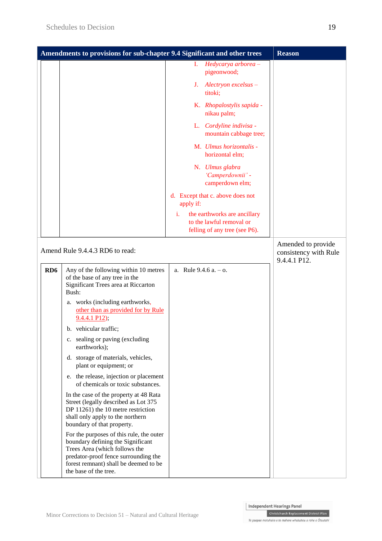|                 | Amendments to provisions for sub-chapter 9.4 Significant and other trees                                                                                                                                                 | <b>Reason</b>                                                                                   |                                                             |
|-----------------|--------------------------------------------------------------------------------------------------------------------------------------------------------------------------------------------------------------------------|-------------------------------------------------------------------------------------------------|-------------------------------------------------------------|
|                 |                                                                                                                                                                                                                          | Hedycarya arborea -<br>L.<br>pigeonwood;                                                        |                                                             |
|                 |                                                                                                                                                                                                                          | Alectryon excelsus -<br>J.<br>titoki;                                                           |                                                             |
|                 |                                                                                                                                                                                                                          | K. Rhopalostylis sapida -<br>nikau palm;                                                        |                                                             |
|                 |                                                                                                                                                                                                                          | L. Cordyline indivisa -<br>mountain cabbage tree;                                               |                                                             |
|                 |                                                                                                                                                                                                                          | M. Ulmus horizontalis -<br>horizontal elm;                                                      |                                                             |
|                 |                                                                                                                                                                                                                          | N. Ulmus glabra<br>'Camperdownii' -<br>camperdown elm;                                          |                                                             |
|                 |                                                                                                                                                                                                                          | d. Except that c. above does not<br>apply if:                                                   |                                                             |
|                 |                                                                                                                                                                                                                          | the earthworks are ancillary<br>i.<br>to the lawful removal or<br>felling of any tree (see P6). |                                                             |
|                 | Amend Rule 9.4.4.3 RD6 to read:                                                                                                                                                                                          |                                                                                                 | Amended to provide<br>consistency with Rule<br>9.4.4.1 P12. |
| RD <sub>6</sub> | Any of the following within 10 metres<br>of the base of any tree in the<br>Significant Trees area at Riccarton<br>Bush:                                                                                                  | a. Rule $9.4.6$ a. $-$ o.                                                                       |                                                             |
|                 | a. works (including earthworks,<br>other than as provided for by Rule<br>$9.4.4.1$ P12);                                                                                                                                 |                                                                                                 |                                                             |
|                 | b. vehicular traffic;                                                                                                                                                                                                    |                                                                                                 |                                                             |
|                 | c. sealing or paving (excluding<br>earthworks);                                                                                                                                                                          |                                                                                                 |                                                             |
|                 | d. storage of materials, vehicles,<br>plant or equipment; or                                                                                                                                                             |                                                                                                 |                                                             |
|                 | e. the release, injection or placement<br>of chemicals or toxic substances.                                                                                                                                              |                                                                                                 |                                                             |
|                 | In the case of the property at 48 Rata<br>Street (legally described as Lot 375<br>DP 11261) the 10 metre restriction<br>shall only apply to the northern<br>boundary of that property.                                   |                                                                                                 |                                                             |
|                 | For the purposes of this rule, the outer<br>boundary defining the Significant<br>Trees Area (which follows the<br>predator-proof fence surrounding the<br>forest remnant) shall be deemed to be<br>the base of the tree. |                                                                                                 |                                                             |

Christchurch Replacement District Plan

Te paepae motuhake o te mahere whakahou a rohe o Ōtautahi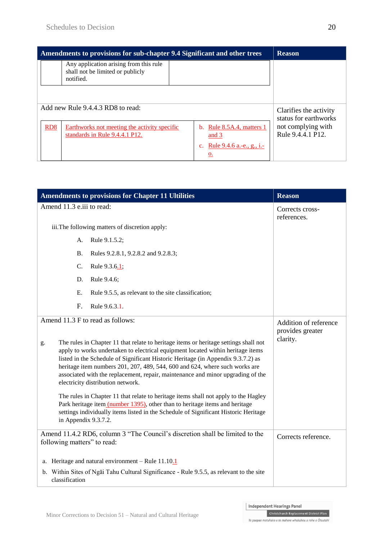| Amendments to provisions for sub-chapter 9.4 Significant and other trees |                                                                                         |                                         | <b>Reason</b>                                   |  |
|--------------------------------------------------------------------------|-----------------------------------------------------------------------------------------|-----------------------------------------|-------------------------------------------------|--|
|                                                                          | Any application arising from this rule<br>shall not be limited or publicly<br>notified. |                                         |                                                 |  |
| Add new Rule 9.4.4.3 RD8 to read:                                        |                                                                                         |                                         | Clarifies the activity<br>status for earthworks |  |
| RD <sub>8</sub>                                                          | Earthworks not meeting the activity specific<br>standards in Rule 9.4.4.1 P12.          | b. Rule $8.5A.4$ , matters 1<br>and $3$ | not complying with<br>Rule 9.4.4.1 P12.         |  |
|                                                                          |                                                                                         | c. Rule 9.4.6 a.-e., g., i.-<br>0.      |                                                 |  |

| <b>Amendments to provisions for Chapter 11 Ultilities</b>                                                                                                                                                                                                                                                                                                                                                                                                                                                                                                                                                                                                                                                                                                                                         | <b>Reason</b>                                         |  |
|---------------------------------------------------------------------------------------------------------------------------------------------------------------------------------------------------------------------------------------------------------------------------------------------------------------------------------------------------------------------------------------------------------------------------------------------------------------------------------------------------------------------------------------------------------------------------------------------------------------------------------------------------------------------------------------------------------------------------------------------------------------------------------------------------|-------------------------------------------------------|--|
| Amend 11.3 e.iii to read:                                                                                                                                                                                                                                                                                                                                                                                                                                                                                                                                                                                                                                                                                                                                                                         | Corrects cross-<br>references.                        |  |
| iii. The following matters of discretion apply:                                                                                                                                                                                                                                                                                                                                                                                                                                                                                                                                                                                                                                                                                                                                                   |                                                       |  |
| Rule 9.1.5.2;<br>А.                                                                                                                                                                                                                                                                                                                                                                                                                                                                                                                                                                                                                                                                                                                                                                               |                                                       |  |
| <b>B.</b><br>Rules 9.2.8.1, 9.2.8.2 and 9.2.8.3;                                                                                                                                                                                                                                                                                                                                                                                                                                                                                                                                                                                                                                                                                                                                                  |                                                       |  |
| C.<br>Rule 9.3.6.1;                                                                                                                                                                                                                                                                                                                                                                                                                                                                                                                                                                                                                                                                                                                                                                               |                                                       |  |
| Rule 9.4.6;<br>D.                                                                                                                                                                                                                                                                                                                                                                                                                                                                                                                                                                                                                                                                                                                                                                                 |                                                       |  |
| Ε.<br>Rule 9.5.5, as relevant to the site classification;                                                                                                                                                                                                                                                                                                                                                                                                                                                                                                                                                                                                                                                                                                                                         |                                                       |  |
| F.<br>Rule 9.6.3.1.                                                                                                                                                                                                                                                                                                                                                                                                                                                                                                                                                                                                                                                                                                                                                                               |                                                       |  |
| Amend 11.3 F to read as follows:<br>The rules in Chapter 11 that relate to heritage items or heritage settings shall not<br>g.<br>apply to works undertaken to electrical equipment located within heritage items<br>listed in the Schedule of Significant Historic Heritage (in Appendix 9.3.7.2) as<br>heritage item numbers 201, 207, 489, 544, 600 and 624, where such works are<br>associated with the replacement, repair, maintenance and minor upgrading of the<br>electricity distribution network.<br>The rules in Chapter 11 that relate to heritage items shall not apply to the Hagley<br>Park heritage item (number 1395), other than to heritage items and heritage<br>settings individually items listed in the Schedule of Significant Historic Heritage<br>in Appendix 9.3.7.2. | Addition of reference<br>provides greater<br>clarity. |  |
| Amend 11.4.2 RD6, column 3 "The Council's discretion shall be limited to the<br>following matters" to read:                                                                                                                                                                                                                                                                                                                                                                                                                                                                                                                                                                                                                                                                                       | Corrects reference.                                   |  |
| a. Heritage and natural environment – Rule $11.10.1$                                                                                                                                                                                                                                                                                                                                                                                                                                                                                                                                                                                                                                                                                                                                              |                                                       |  |
| b. Within Sites of Ngai Tahu Cultural Significance - Rule 9.5.5, as relevant to the site<br>classification                                                                                                                                                                                                                                                                                                                                                                                                                                                                                                                                                                                                                                                                                        |                                                       |  |

Christchurch Replacement District Plan Te paepae motuhake o te mahere whakahou a rohe o Ōtautahi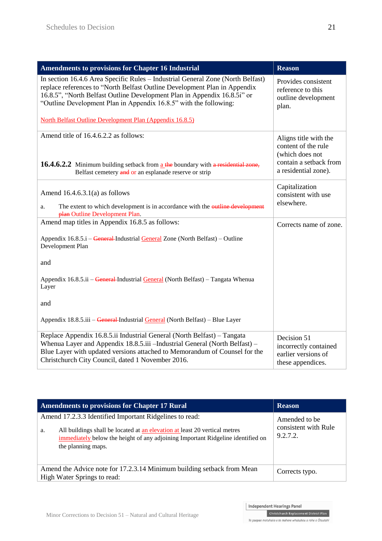| <b>Amendments to provisions for Chapter 16 Industrial</b>                                                                                                                                                                                                                                                     | <b>Reason</b>                                                                                                     |
|---------------------------------------------------------------------------------------------------------------------------------------------------------------------------------------------------------------------------------------------------------------------------------------------------------------|-------------------------------------------------------------------------------------------------------------------|
| In section 16.4.6 Area Specific Rules - Industrial General Zone (North Belfast)<br>replace references to "North Belfast Outline Development Plan in Appendix<br>16.8.5", "North Belfast Outline Development Plan in Appendix 16.8.5i" or<br>"Outline Development Plan in Appendix 16.8.5" with the following: | Provides consistent<br>reference to this<br>outline development<br>plan.                                          |
| <b>North Belfast Outline Development Plan (Appendix 16.8.5)</b>                                                                                                                                                                                                                                               |                                                                                                                   |
| Amend title of 16.4.6.2.2 as follows:<br>16.4.6.2.2 Minimum building setback from a the boundary with a residential zone,<br>Belfast cemetery and or an esplanade reserve or strip                                                                                                                            | Aligns title with the<br>content of the rule<br>(which does not<br>contain a setback from<br>a residential zone). |
| Amend $16.4.6.3.1(a)$ as follows<br>The extent to which development is in accordance with the outline development<br>a.                                                                                                                                                                                       | Capitalization<br>consistent with use<br>elsewhere.                                                               |
| plan Outline Development Plan.<br>Amend map titles in Appendix 16.8.5 as follows:                                                                                                                                                                                                                             |                                                                                                                   |
| Appendix 16.8.5.i – General-Industrial General Zone (North Belfast) – Outline<br>Development Plan                                                                                                                                                                                                             | Corrects name of zone.                                                                                            |
| and                                                                                                                                                                                                                                                                                                           |                                                                                                                   |
| Appendix 16.8.5.ii - General-Industrial General (North Belfast) - Tangata Whenua<br>Layer                                                                                                                                                                                                                     |                                                                                                                   |
| and                                                                                                                                                                                                                                                                                                           |                                                                                                                   |
| Appendix 18.8.5.iii – General-Industrial General (North Belfast) – Blue Layer                                                                                                                                                                                                                                 |                                                                                                                   |
| Replace Appendix 16.8.5.ii Industrial General (North Belfast) – Tangata<br>Whenua Layer and Appendix 18.8.5.iii - Industrial General (North Belfast) -<br>Blue Layer with updated versions attached to Memorandum of Counsel for the<br>Christchurch City Council, dated 1 November 2016.                     | Decision 51<br>incorrectly contained<br>earlier versions of<br>these appendices.                                  |

| <b>Amendments to provisions for Chapter 17 Rural</b>                                                                                                                                                                                                 | <b>Reason</b>                                     |
|------------------------------------------------------------------------------------------------------------------------------------------------------------------------------------------------------------------------------------------------------|---------------------------------------------------|
| Amend 17.2.3.3 Identified Important Ridgelines to read:<br>All buildings shall be located at an elevation at least 20 vertical metres<br>a.<br>immediately below the height of any adjoining Important Ridgeline identified on<br>the planning maps. | Amended to be<br>consistent with Rule<br>9.2.7.2. |
| Amend the Advice note for 17.2.3.14 Minimum building setback from Mean<br>High Water Springs to read:                                                                                                                                                | Corrects typo.                                    |